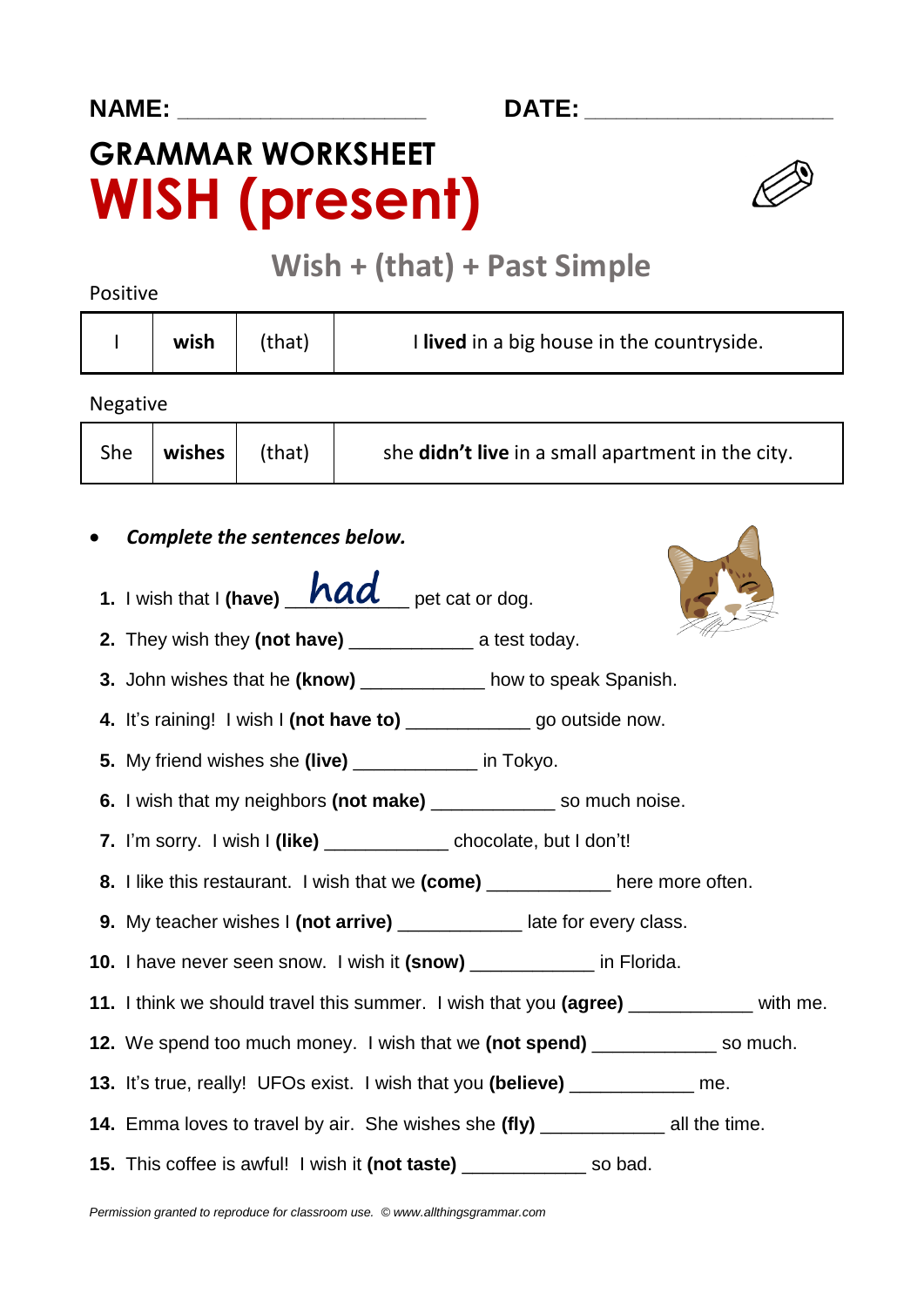# **GRAMMAR WORKSHEET WISH (present)**



# **Wish + (that) + Past Simple**

Positive

| wish | (that) | I lived in a big house in the countryside. |
|------|--------|--------------------------------------------|
|      |        |                                            |

Negative

| She | wishes $ $ (that) |  | she <b>didn't live</b> in a small apartment in the city. |
|-----|-------------------|--|----------------------------------------------------------|
|-----|-------------------|--|----------------------------------------------------------|

- *Complete the sentences below.*
- **1.** I wish that I **(have)**  $\mathbf{had}$  pet cat or dog.
- **2.** They wish they (not have) **a** test today.



- **4.** It's raining! I wish I **(not have to)** \_\_\_\_\_\_\_\_\_\_\_\_ go outside now.
- **5.** My friend wishes she **(live)** \_\_\_\_\_\_\_\_\_\_\_\_ in Tokyo.
- **6.** I wish that my neighbors **(not make)** \_\_\_\_\_\_\_\_\_\_\_\_ so much noise.
- **7.** I'm sorry. I wish I **(like)** \_\_\_\_\_\_\_\_\_\_\_\_ chocolate, but I don't!
- **8.** I like this restaurant. I wish that we **(come)** \_\_\_\_\_\_\_\_\_\_\_\_ here more often.
- **9.** My teacher wishes I **(not arrive)** \_\_\_\_\_\_\_\_\_\_\_\_ late for every class.
- **10.** I have never seen snow. I wish it **(snow)** \_\_\_\_\_\_\_\_\_\_\_\_ in Florida.
- **11.** I think we should travel this summer. I wish that you **(agree)** \_\_\_\_\_\_\_\_\_\_\_\_ with me.
- **12.** We spend too much money. I wish that we **(not spend)** \_\_\_\_\_\_\_\_\_\_\_\_ so much.
- **13.** It's true, really! UFOs exist. I wish that you **(believe)** \_\_\_\_\_\_\_\_\_\_\_\_ me.
- **14.** Emma loves to travel by air. She wishes she **(fly)** \_\_\_\_\_\_\_\_\_\_\_\_ all the time.
- **15.** This coffee is awful! I wish it **(not taste)** \_\_\_\_\_\_\_\_\_\_\_\_ so bad.

*Permission granted to reproduce for classroom use. © www.allthingsgrammar.com*